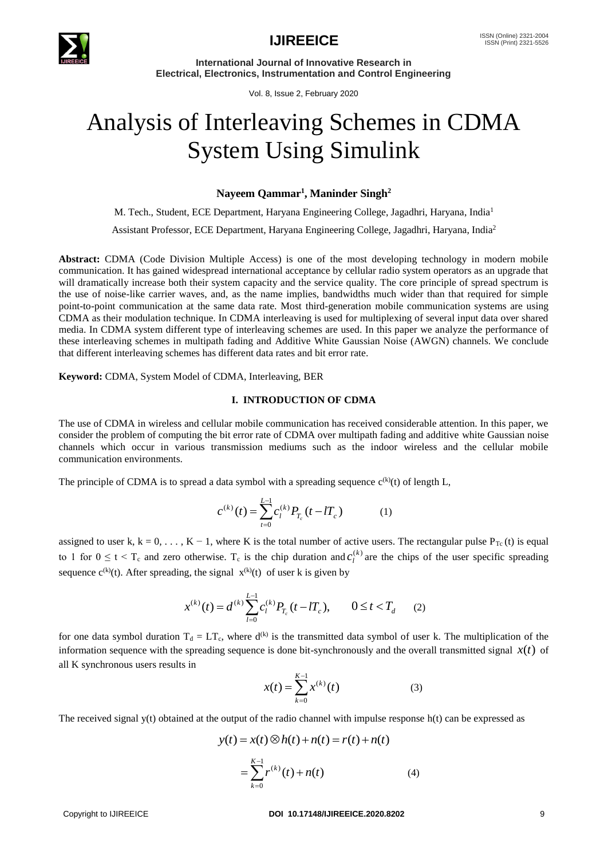

**International Journal of Innovative Research in Electrical, Electronics, Instrumentation and Control Engineering**

Vol. 8, Issue 2, February 2020

# Analysis of Interleaving Schemes in CDMA System Using Simulink

# **Nayeem Qammar<sup>1</sup> , Maninder Singh<sup>2</sup>**

M. Tech., Student, ECE Department, Haryana Engineering College, Jagadhri, Haryana, India<sup>1</sup> Assistant Professor, ECE Department, Haryana Engineering College, Jagadhri, Haryana, India<sup>2</sup>

**Abstract:** CDMA (Code Division Multiple Access) is one of the most developing technology in modern mobile communication. It has gained widespread international acceptance by cellular radio system operators as an upgrade that will dramatically increase both their system capacity and the service quality. The core principle of spread spectrum is the use of noise-like carrier waves, and, as the name implies, bandwidths much wider than that required for simple point-to-point communication at the same data rate. Most third-generation mobile communication systems are using CDMA as their modulation technique. In CDMA interleaving is used for multiplexing of several input data over shared media. In CDMA system different type of interleaving schemes are used. In this paper we analyze the performance of these interleaving schemes in multipath fading and Additive White Gaussian Noise (AWGN) channels. We conclude that different interleaving schemes has different data rates and bit error rate.

**Keyword:** CDMA, System Model of CDMA, Interleaving, BER

## **I. INTRODUCTION OF CDMA**

The use of CDMA in wireless and cellular mobile communication has received considerable attention. In this paper, we consider the problem of computing the bit error rate of CDMA over multipath fading and additive white Gaussian noise channels which occur in various transmission mediums such as the indoor wireless and the cellular mobile communication environments.

The principle of CDMA is to spread a data symbol with a spreading sequence  $c^{(k)}(t)$  of length L,

$$
c^{(k)}(t) = \sum_{t=0}^{L-1} c_l^{(k)} P_{T_c}(t - lT_c)
$$
 (1)

assigned to user k, k = 0, . . . , K – 1, where K is the total number of active users. The rectangular pulse  $P_{Tc}$  (t) is equal to 1 for  $0 \le t < T_c$  and zero otherwise. T<sub>c</sub> is the chip duration and  $c_l^{(k)}$  $c_l^{(k)}$  are the chips of the user specific spreading sequence  $c^{(k)}(t)$ . After spreading, the signal  $x^{(k)}(t)$  of user k is given by

$$
x^{(k)}(t) = d^{(k)} \sum_{l=0}^{L-1} c_l^{(k)} P_{T_c}(t - lT_c), \qquad 0 \le t < T_d \qquad (2)
$$

for one data symbol duration  $T_d = LT_c$ , where  $d^{(k)}$  is the transmitted data symbol of user k. The multiplication of the information sequence with the spreading sequence is done bit-synchronously and the overall transmitted signal  $x(t)$  of all K synchronous users results in

$$
x(t) = \sum_{k=0}^{K-1} x^{(k)}(t)
$$
 (3)

The received signal y(t) obtained at the output of the radio channel with impulse response h(t) can be expressed as

$$
y(t) = x(t) \otimes h(t) + n(t) = r(t) + n(t)
$$
  
= 
$$
\sum_{k=0}^{K-1} r^{(k)}(t) + n(t)
$$
 (4)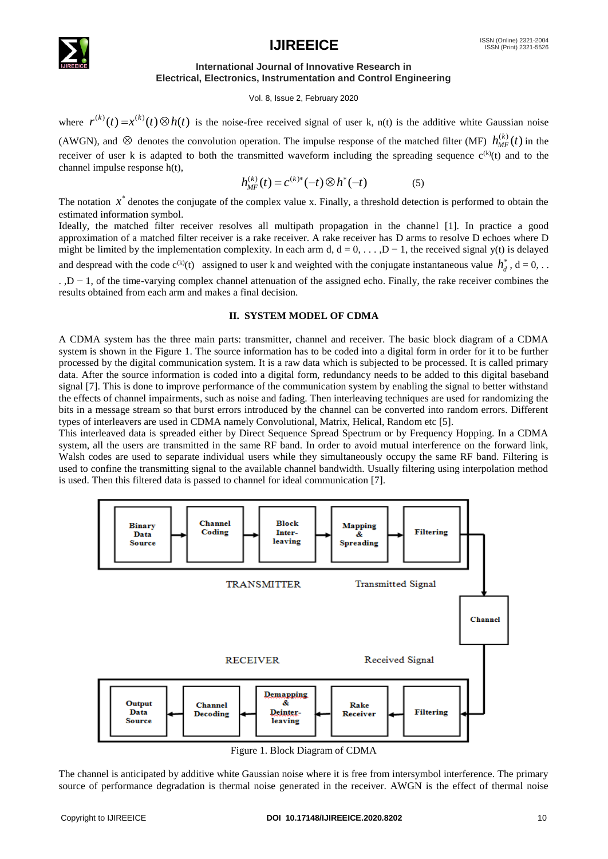

# **IJIREEICE** ISSN (Online) 2321-2004

## **International Journal of Innovative Research in Electrical, Electronics, Instrumentation and Control Engineering**

#### Vol. 8, Issue 2, February 2020

where  $r^{(k)}(t) = x^{(k)}(t) \otimes h(t)$  is the noise-free received signal of user k, n(t) is the additive white Gaussian noise

(AWGN), and  $\otimes$  denotes the convolution operation. The impulse response of the matched filter (MF)  $h_{MF}^{(k)}(t)$  $\chi_{MF}^{(k)}(t)$  in the receiver of user k is adapted to both the transmitted waveform including the spreading sequence  $c^{(k)}(t)$  and to the channel impulse response h(t),

$$
h_{MF}^{(k)}(t) = c^{(k)*}(-t) \otimes h^*(-t)
$$
 (5)

The notation  $x^*$  denotes the conjugate of the complex value x. Finally, a threshold detection is performed to obtain the estimated information symbol.

Ideally, the matched filter receiver resolves all multipath propagation in the channel [1]. In practice a good approximation of a matched filter receiver is a rake receiver. A rake receiver has D arms to resolve D echoes where D might be limited by the implementation complexity. In each arm d,  $d = 0, \ldots, D - 1$ , the received signal y(t) is delayed and despread with the code  $c^{(k)}(t)$  assigned to user k and weighted with the conjugate instantaneous value  $h_d^*$ ,  $d = 0$ , ...

. ,D − 1, of the time-varying complex channel attenuation of the assigned echo. Finally, the rake receiver combines the results obtained from each arm and makes a final decision.

## **II. SYSTEM MODEL OF CDMA**

A CDMA system has the three main parts: transmitter, channel and receiver. The basic block diagram of a CDMA system is shown in the Figure 1. The source information has to be coded into a digital form in order for it to be further processed by the digital communication system. It is a raw data which is subjected to be processed. It is called primary data. After the source information is coded into a digital form, redundancy needs to be added to this digital baseband signal [7]. This is done to improve performance of the communication system by enabling the signal to better withstand the effects of channel impairments, such as noise and fading. Then interleaving techniques are used for randomizing the bits in a message stream so that burst errors introduced by the channel can be converted into random errors. Different types of interleavers are used in CDMA namely Convolutional, Matrix, Helical, Random etc [5].

This interleaved data is spreaded either by Direct Sequence Spread Spectrum or by Frequency Hopping. In a CDMA system, all the users are transmitted in the same RF band. In order to avoid mutual interference on the forward link, Walsh codes are used to separate individual users while they simultaneously occupy the same RF band. Filtering is used to confine the transmitting signal to the available channel bandwidth. Usually filtering using interpolation method is used. Then this filtered data is passed to channel for ideal communication [7].



Figure 1. Block Diagram of CDMA

The channel is anticipated by additive white Gaussian noise where it is free from intersymbol interference. The primary source of performance degradation is thermal noise generated in the receiver. AWGN is the effect of thermal noise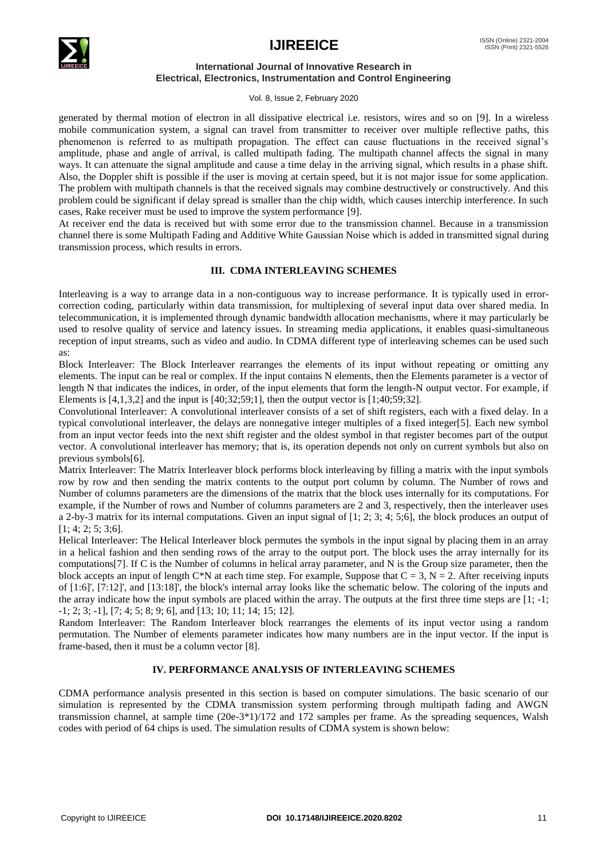

#### **International Journal of Innovative Research in Electrical, Electronics, Instrumentation and Control Engineering**

Vol. 8, Issue 2, February 2020

generated by thermal motion of electron in all dissipative electrical i.e. resistors, wires and so on [9]. In a wireless mobile communication system, a signal can travel from transmitter to receiver over multiple reflective paths, this phenomenon is referred to as multipath propagation. The effect can cause fluctuations in the received signal's amplitude, phase and angle of arrival, is called multipath fading. The multipath channel affects the signal in many ways. It can attenuate the signal amplitude and cause a time delay in the arriving signal, which results in a phase shift. Also, the Doppler shift is possible if the user is moving at certain speed, but it is not major issue for some application. The problem with multipath channels is that the received signals may combine destructively or constructively. And this problem could be significant if delay spread is smaller than the chip width, which causes interchip interference. In such cases, Rake receiver must be used to improve the system performance [9].

At receiver end the data is received but with some error due to the transmission channel. Because in a transmission channel there is some Multipath Fading and Additive White Gaussian Noise which is added in transmitted signal during transmission process, which results in errors.

# **III. CDMA INTERLEAVING SCHEMES**

Interleaving is a way to arrange [data](http://en.wikipedia.org/wiki/Data) in a non[-contiguous](http://en.wikipedia.org/wiki/Contiguous) way to increase performance. It is typically used in [error](http://en.wikipedia.org/wiki/Error-correction_coding)[correction coding,](http://en.wikipedia.org/wiki/Error-correction_coding) particularly within [data transmission,](http://en.wikipedia.org/wiki/Data_transmission) for [multiplexing](http://en.wikipedia.org/wiki/Multiplexing) of several input data over shared media. In [telecommunication,](http://en.wikipedia.org/wiki/Telecommunication) it is implemented through [dynamic bandwidth allocation](http://en.wikipedia.org/wiki/Dynamic_bandwidth_allocation) mechanisms, where it may particularly be used to resolve [quality of service](http://en.wikipedia.org/wiki/Quality_of_service) and [latency](http://en.wikipedia.org/wiki/Latency_(engineering)) issues. In [streaming media](http://en.wikipedia.org/wiki/Streaming_media) applications, it enables quasi-simultaneous reception of input streams, such as [video](http://en.wikipedia.org/wiki/Video) and [audio.](http://en.wikipedia.org/wiki/Audio) In CDMA different type of interleaving schemes can be used such as:

Block Interleaver: The Block Interleaver rearranges the elements of its input without repeating or omitting any elements. The input can be real or complex. If the input contains N elements, then the Elements parameter is a vector of length N that indicates the indices, in order, of the input elements that form the length-N output vector. For example, if Elements is  $[4,1,3,2]$  and the input is  $[40,32,59,1]$ , then the output vector is  $[1,40,59,32]$ .

Convolutional Interleaver: A convolutional interleaver consists of a set of shift registers, each with a fixed delay. In a typical convolutional interleaver, the delays are nonnegative integer multiples of a fixed integer[5]. Each new symbol from an input vector feeds into the next shift register and the oldest symbol in that register becomes part of the output vector. A convolutional interleaver has memory; that is, its operation depends not only on current symbols but also on previous symbols[6].

Matrix Interleaver: The Matrix Interleaver block performs block interleaving by filling a matrix with the input symbols row by row and then sending the matrix contents to the output port column by column. The Number of rows and Number of columns parameters are the dimensions of the matrix that the block uses internally for its computations. For example, if the Number of rows and Number of columns parameters are 2 and 3, respectively, then the interleaver uses a 2-by-3 matrix for its internal computations. Given an input signal of [1; 2; 3; 4; 5;6], the block produces an output of [1; 4; 2; 5; 3;6].

Helical Interleaver: The Helical Interleaver block permutes the symbols in the input signal by placing them in an array in a helical fashion and then sending rows of the array to the output port. The block uses the array internally for its computations[7]. If C is the Number of columns in helical array parameter, and N is the Group size parameter, then the block accepts an input of length C\*N at each time step. For example, Suppose that  $C = 3$ ,  $N = 2$ . After receiving inputs of [1:6]', [7:12]', and [13:18]', the block's internal array looks like the schematic below. The coloring of the inputs and the array indicate how the input symbols are placed within the array. The outputs at the first three time steps are [1; -1; -1; 2; 3; -1], [7; 4; 5; 8; 9; 6], and [13; 10; 11; 14; 15; 12].

Random Interleaver: The Random Interleaver block rearranges the elements of its input vector using a random permutation. The Number of elements parameter indicates how many numbers are in the input vector. If the input is frame-based, then it must be a column vector [8].

# **IV. PERFORMANCE ANALYSIS OF INTERLEAVING SCHEMES**

CDMA performance analysis presented in this section is based on computer simulations. The basic scenario of our simulation is represented by the CDMA transmission system performing through multipath fading and AWGN transmission channel, at sample time (20e-3\*1)/172 and 172 samples per frame. As the spreading sequences, Walsh codes with period of 64 chips is used. The simulation results of CDMA system is shown below: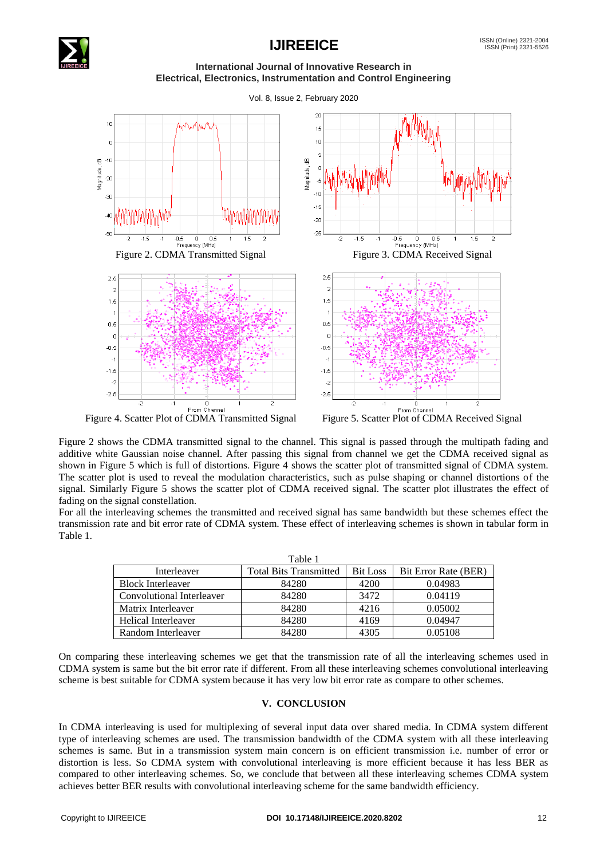

# **IJIREEICE** ISSN (Online) 2321-2004

**International Journal of Innovative Research in Electrical, Electronics, Instrumentation and Control Engineering**

Vol. 8, Issue 2, February 2020



Figure 4. Scatter Plot of CDMA Transmitted Signal Figure 5. Scatter Plot of CDMA Received Signal

Figure 2 shows the CDMA transmitted signal to the channel. This signal is passed through the multipath fading and additive white Gaussian noise channel. After passing this signal from channel we get the CDMA received signal as shown in Figure 5 which is full of distortions. Figure 4 shows the scatter plot of transmitted signal of CDMA system. The scatter plot is used to reveal the modulation characteristics, such as pulse shaping or channel distortions of the signal. Similarly Figure 5 shows the scatter plot of CDMA received signal. The scatter plot illustrates the effect of fading on the signal constellation.

For all the interleaving schemes the transmitted and received signal has same bandwidth but these schemes effect the transmission rate and bit error rate of CDMA system. These effect of interleaving schemes is shown in tabular form in Table 1.

| Table 1                   |                               |                 |                      |
|---------------------------|-------------------------------|-----------------|----------------------|
| Interleaver               | <b>Total Bits Transmitted</b> | <b>Bit Loss</b> | Bit Error Rate (BER) |
| <b>Block Interleaver</b>  | 84280                         | 4200            | 0.04983              |
| Convolutional Interleaver | 84280                         | 3472            | 0.04119              |
| Matrix Interleaver        | 84280                         | 4216            | 0.05002              |
| Helical Interleaver       | 84280                         | 4169            | 0.04947              |
| Random Interleaver        | 84280                         | 4305            | 0.05108              |

On comparing these interleaving schemes we get that the transmission rate of all the interleaving schemes used in CDMA system is same but the bit error rate if different. From all these interleaving schemes convolutional interleaving scheme is best suitable for CDMA system because it has very low bit error rate as compare to other schemes.

## **V. CONCLUSION**

In CDMA interleaving is used for multiplexing of several input data over shared media. In CDMA system different type of interleaving schemes are used. The transmission bandwidth of the CDMA system with all these interleaving schemes is same. But in a transmission system main concern is on efficient transmission i.e. number of error or distortion is less. So CDMA system with convolutional interleaving is more efficient because it has less BER as compared to other interleaving schemes. So, we conclude that between all these interleaving schemes CDMA system achieves better BER results with convolutional interleaving scheme for the same bandwidth efficiency.